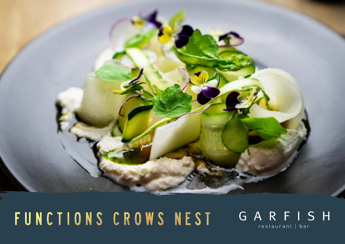

# FUNCTIONS CROWS NEST

## GARFISH restaurant | bar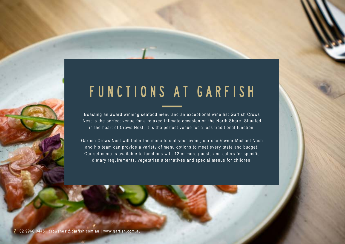## FUNCTIONS AT GARFISH

Boasting an award winning seafood menu and an exceptional wine list Garfish Crows Nest is the perfect venue for a relaxed intimate occasion on the North Shore. Situated in the heart of Crows Nest, it is the perfect venue for a less traditional function.

Garfish Crows Nest will tailor the menu to suit your event, our chef/owner Michael Nash and his team can provide a variety of menu options to meet every taste and budget. Our set menu is available to functions with 12 or more guests and caters for specific dietary requirements, vegetarian alternatives and special menus for children.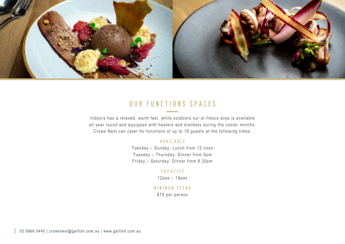

## Our functions spaces

Indoors has a relaxed, warm feel, while outdoors our al fresco area is available all year round and equipped with heaters and blankets during the cooler months. Crows Nest can cater for functions of up to 18 guests at the following times:

### Available

Tuesday – Sunday: Lunch from 12 noon Tuesday – Thursday: Dinner from 5pm Friday – Saturday: Dinner from 8.30pm

### Capacity

12pax – 18pax

### Minimum Spend

\$75 per person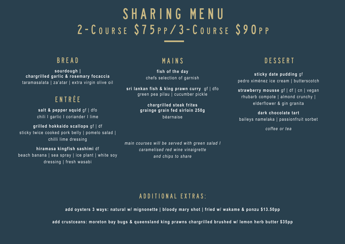## SHARING MENU 2 - C O U R S E S 7 5 P P / 3 - C O U R S E S 9 0 P P

### **BRFAD**

**sourdough | chargrilled garlic & rosemary focaccia**  taramasalata | za'atar | extra virgin olive oil

## entrée

**salt & pepper squid** gf | dfo chili I garlic I coriander I lime

**grilled hokkaido scallops** gf | df sticky twice cooked pork belly | pomelo salad | chilli lime dressing

**hiramasa kingfish sashimi** df beach banana | sea spray | ice plant | white soy dressing | fresh wasabi

### mains

**fish of the day** chefs selection of garnish

**sri lankan fish & king prawn curry** gf | dfo green pea pilau | cucumber pickle

> **chargrilled steak frites grainge grain fed sirloin 250g béarnaise**

*main courses will be served with green salad I caramelised red wine vinaigrette and chips to share* 

## DESSERT

**sticky date pudding** gf pedro ximénez ice cream | butterscotch

**strawberry mousse** gf | df | cn | vegan rhubarb compote | almond crunchy | elderflower & gin granita

**dark chocolate tart** baileys namelaka | passionfruit sorbet

*coffee or tea*

### additional extras:

**add oysters 3 ways: natural w/ mignonette | bloody mary shot | fried w/ wakame & ponzu \$13.50pp**

**add crustceans: moreton bay bugs & queensland king prawns chargrilled brushed w/ lemon herb butter \$35pp**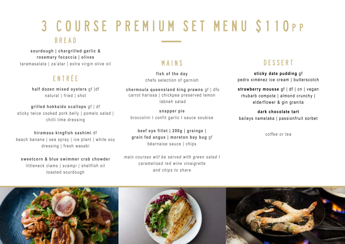## 3 COURSE PREMIUM SET MENU S110PP

### Bread

**sourdough | chargrilled garlic & rosemary focaccia | olives** taramasalata | za'atar | extra virgin olive oil

## entrée

**half dozen mixed oysters** gf |df natural | fried | shot

**grilled hokkaido scallops** gf | df sticky twice cooked pork belly | pomelo salad | chilli lime dressing

**hiramasa kingfish sashimi** df beach banana | sea spray | ice plant | white soy dressing | fresh wasabi

**sweetcorn & blue swimmer crab chowder**  littleneck clams | scampi | shellfish oil toasted sourdough

## mains

**fish of the day** chefs selection of garnish

 **chermoula queensland king prawns** gf | dfo carrot harissa | chickpea preserved lemon labneh salad

**snapper pie**  broccolini I confit garlic I sauce soubise

**beef eye fillet | 200g | grainge | grain fed angus | moreton bay bug** gf béarnaise sauce | chips

*main courses will be served with green salad I caramelised red wine vinaigrette and chips to share* 

## **DESSERT**

**sticky date pudding** gf pedro ximénez ice cream | butterscotch

**strawberry mousse** gf | df | cn | vegan rhubarb compote | almond crunchy | elderflower & gin granita

**dark chocolate tart** baileys namelaka | passionfruit sorbet

*coffee or tea*

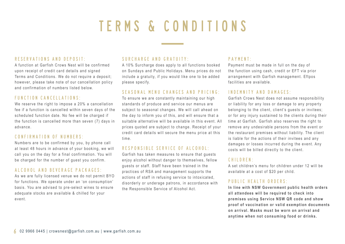## TERMS & CONDITIONS

### Reservations and Deposit:

A function at Garfish Crows Nest will be confirmed upon receipt of credit card details and signed Terms and Conditions. We do not require a deposit; however, please take note of our cancellation policy and confirmation of numbers listed below.

### Function cancellations:

We reserve the right to impose a 20% a cancellation fee if a function is cancelled within seven days of the scheduled function date. No fee will be charged if the function is cancelled more than seven (7) days in advance.

#### Confirmation of numbers:

Numbers are to be confirmed by you, by phone call at least 48 hours in advance of your booking, we will call you on the day for a final confirmation. You will be charged for the number of guest you confirm.

### Alcohol and beverage packages:

As we are fully licensed venue we do not permit BYO for functions. We operate under an 'on consumption' basis. You are advised to pre-select wines to ensure adequate stocks are available & chilled for your event.

### Surcharge and Gratuity:

A 10% Surcharge does apply to all functions booked on Sundays and Public Holidays. Menu prices do not include a gratuity, if you would like one to be added please specify.

#### Seasonal menu changes and pricing:

To ensure we are constantly maintaining our high standards of produce and service our menus are subject to seasonal changes. We will call ahead on the day to inform you of this, and will ensure that a suitable alternative will be available in this event. All prices quoted are subject to change. Receipt of your credit card details will secure the menu price at this time.

### Responsible service of Alcohol:

Garfish has taken measures to ensure that guests enjoy alcohol without danger to themselves, fellow guests or staff. Staff have been trained in the practices of RSA and management supports the actions of staff in refusing service to intoxicated, disorderly or underage patrons, in accordance with the Responsible Service of Alcohol Act.

### Payment:

Payment must be made in full on the day of the function using cash, credit or EFT via prior arrangement with Garfish management. Eftpos facilities are available.

#### Indemnity and Damages:

Garfish Crows Nest does not assume responsibility or liability for any loss or damage to any property belonging to the client, client's guests or invitees; or for any injury sustained to the clients during their time at Garfish. Garfish also reserves the right to remove any undesirable persons from the event or the restaurant premises without liability. The client is liable for the actions of their invitees and any damages or losses incurred during the event. Any costs will be billed directly to the client.

#### Children:

A set children's menu for children under 12 will be available at a cost of \$20 per child.

### public health orders:

**In line with NSW Government public health orders all attendees will be required to check into premises using Service NSW QR code and show proof of vaccination or valid exemption documents on arrival. Masks must be worn on arrival and anytime when not consuming food or drinks.**